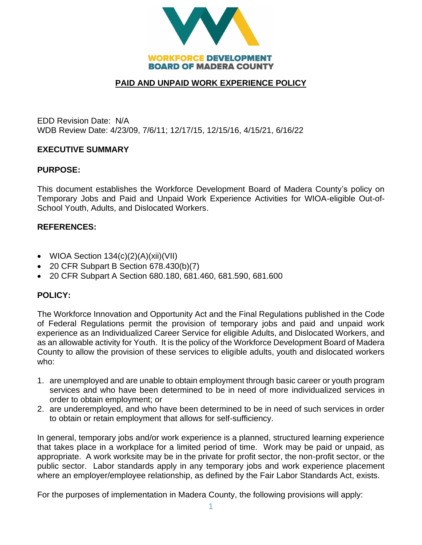

# **PAID AND UNPAID WORK EXPERIENCE POLICY**

EDD Revision Date: N/A WDB Review Date: 4/23/09, 7/6/11; 12/17/15, 12/15/16, 4/15/21, 6/16/22

### **EXECUTIVE SUMMARY**

### **PURPOSE:**

This document establishes the Workforce Development Board of Madera County's policy on Temporary Jobs and Paid and Unpaid Work Experience Activities for WIOA-eligible Out-of-School Youth, Adults, and Dislocated Workers.

### **REFERENCES:**

- WIOA Section  $134(c)(2)(A)(xii)(VII)$
- 20 CFR Subpart B Section 678.430(b)(7)
- 20 CFR Subpart A Section 680.180, 681.460, 681.590, 681.600

## **POLICY:**

The Workforce Innovation and Opportunity Act and the Final Regulations published in the Code of Federal Regulations permit the provision of temporary jobs and paid and unpaid work experience as an Individualized Career Service for eligible Adults, and Dislocated Workers, and as an allowable activity for Youth. It is the policy of the Workforce Development Board of Madera County to allow the provision of these services to eligible adults, youth and dislocated workers who:

- 1. are unemployed and are unable to obtain employment through basic career or youth program services and who have been determined to be in need of more individualized services in order to obtain employment; or
- 2. are underemployed, and who have been determined to be in need of such services in order to obtain or retain employment that allows for self-sufficiency.

In general, temporary jobs and/or work experience is a planned, structured learning experience that takes place in a workplace for a limited period of time. Work may be paid or unpaid, as appropriate. A work worksite may be in the private for profit sector, the non-profit sector, or the public sector. Labor standards apply in any temporary jobs and work experience placement where an employer/employee relationship, as defined by the Fair Labor Standards Act, exists.

For the purposes of implementation in Madera County, the following provisions will apply: